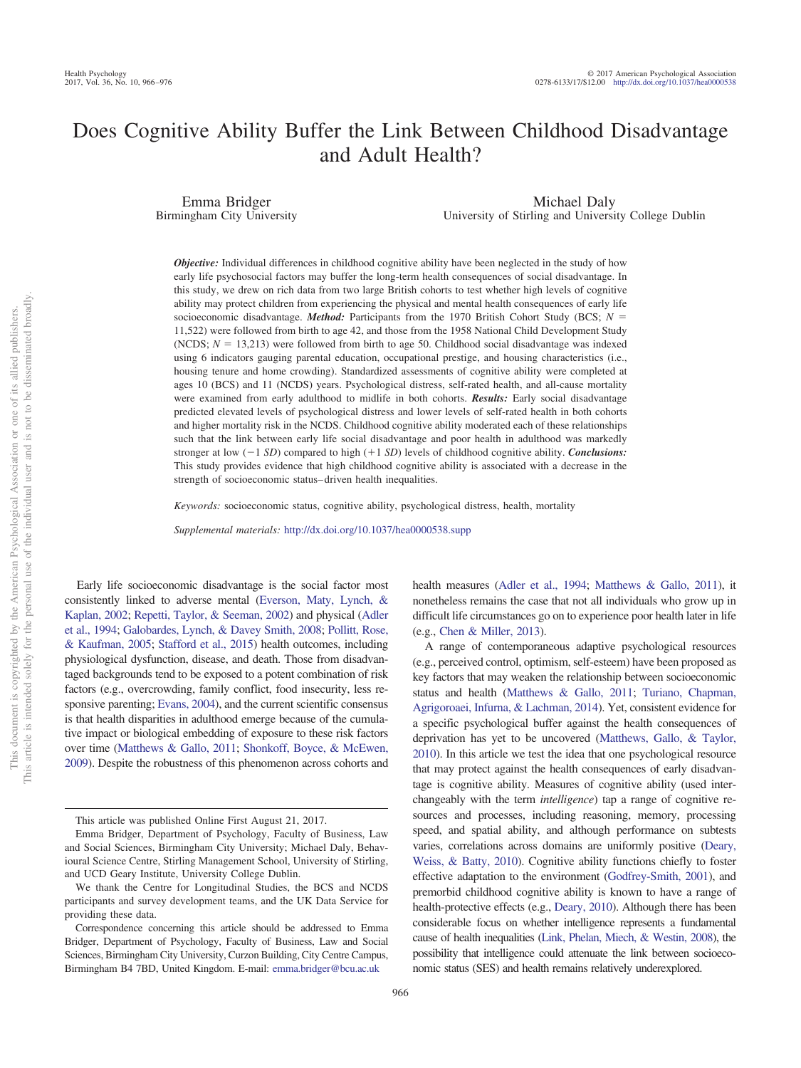### Does Cognitive Ability Buffer the Link Between Childhood Disadvantage and Adult Health?

Emma Bridger Birmingham City University

Michael Daly University of Stirling and University College Dublin

*Objective:* Individual differences in childhood cognitive ability have been neglected in the study of how early life psychosocial factors may buffer the long-term health consequences of social disadvantage. In this study, we drew on rich data from two large British cohorts to test whether high levels of cognitive ability may protect children from experiencing the physical and mental health consequences of early life socioeconomic disadvantage. *Method:* Participants from the 1970 British Cohort Study (BCS;  $N =$ 11,522) were followed from birth to age 42, and those from the 1958 National Child Development Study  $(NCDS; N = 13,213)$  were followed from birth to age 50. Childhood social disadvantage was indexed using 6 indicators gauging parental education, occupational prestige, and housing characteristics (i.e., housing tenure and home crowding). Standardized assessments of cognitive ability were completed at ages 10 (BCS) and 11 (NCDS) years. Psychological distress, self-rated health, and all-cause mortality were examined from early adulthood to midlife in both cohorts. *Results:* Early social disadvantage predicted elevated levels of psychological distress and lower levels of self-rated health in both cohorts and higher mortality risk in the NCDS. Childhood cognitive ability moderated each of these relationships such that the link between early life social disadvantage and poor health in adulthood was markedly stronger at low  $(-1 SD)$  compared to high  $(+1 SD)$  levels of childhood cognitive ability. *Conclusions:* This study provides evidence that high childhood cognitive ability is associated with a decrease in the strength of socioeconomic status– driven health inequalities.

*Keywords:* socioeconomic status, cognitive ability, psychological distress, health, mortality

*Supplemental materials:* http://dx.doi.org[/10.1037/hea0000538.supp](http://dx.doi.org/10.1037/hea0000538.supp)

Early life socioeconomic disadvantage is the social factor most consistently linked to adverse mental [\(Everson, Maty, Lynch, &](#page-9-0) [Kaplan, 2002;](#page-9-0) [Repetti, Taylor, & Seeman, 2002\)](#page-9-1) and physical [\(Adler](#page-8-0) [et al., 1994;](#page-8-0) [Galobardes, Lynch, & Davey Smith, 2008;](#page-9-2) [Pollitt, Rose,](#page-9-3) [& Kaufman, 2005;](#page-9-3) [Stafford et al., 2015\)](#page-10-0) health outcomes, including physiological dysfunction, disease, and death. Those from disadvantaged backgrounds tend to be exposed to a potent combination of risk factors (e.g., overcrowding, family conflict, food insecurity, less responsive parenting; [Evans, 2004\)](#page-9-4), and the current scientific consensus is that health disparities in adulthood emerge because of the cumulative impact or biological embedding of exposure to these risk factors over time [\(Matthews & Gallo, 2011;](#page-9-5) [Shonkoff, Boyce, & McEwen,](#page-9-6) [2009\)](#page-9-6). Despite the robustness of this phenomenon across cohorts and

not to be disseminated broadly one of its allied publishers.

 $\rm \overline{o}$ 

health measures [\(Adler et al., 1994;](#page-8-0) [Matthews & Gallo, 2011\)](#page-9-5), it nonetheless remains the case that not all individuals who grow up in difficult life circumstances go on to experience poor health later in life (e.g., [Chen & Miller, 2013\)](#page-8-1).

A range of contemporaneous adaptive psychological resources (e.g., perceived control, optimism, self-esteem) have been proposed as key factors that may weaken the relationship between socioeconomic status and health [\(Matthews & Gallo, 2011;](#page-9-5) [Turiano, Chapman,](#page-10-1) [Agrigoroaei, Infurna, & Lachman, 2014\)](#page-10-1). Yet, consistent evidence for a specific psychological buffer against the health consequences of deprivation has yet to be uncovered [\(Matthews, Gallo, & Taylor,](#page-9-7) [2010\)](#page-9-7). In this article we test the idea that one psychological resource that may protect against the health consequences of early disadvantage is cognitive ability. Measures of cognitive ability (used interchangeably with the term *intelligence*) tap a range of cognitive resources and processes, including reasoning, memory, processing speed, and spatial ability, and although performance on subtests varies, correlations across domains are uniformly positive [\(Deary,](#page-8-2) [Weiss, & Batty, 2010\)](#page-8-2). Cognitive ability functions chiefly to foster effective adaptation to the environment [\(Godfrey-Smith, 2001\)](#page-9-8), and premorbid childhood cognitive ability is known to have a range of health-protective effects (e.g., [Deary, 2010\)](#page-8-3). Although there has been considerable focus on whether intelligence represents a fundamental cause of health inequalities [\(Link, Phelan, Miech, & Westin, 2008\)](#page-9-9), the possibility that intelligence could attenuate the link between socioeconomic status (SES) and health remains relatively underexplored.

This article was published Online First August 21, 2017.

Emma Bridger, Department of Psychology, Faculty of Business, Law and Social Sciences, Birmingham City University; Michael Daly, Behavioural Science Centre, Stirling Management School, University of Stirling, and UCD Geary Institute, University College Dublin.

We thank the Centre for Longitudinal Studies, the BCS and NCDS participants and survey development teams, and the UK Data Service for providing these data.

Correspondence concerning this article should be addressed to Emma Bridger, Department of Psychology, Faculty of Business, Law and Social Sciences, Birmingham City University, Curzon Building, City Centre Campus, Birmingham B4 7BD, United Kingdom. E-mail: [emma.bridger@bcu.ac.uk](mailto:emma.bridger@bcu.ac.uk)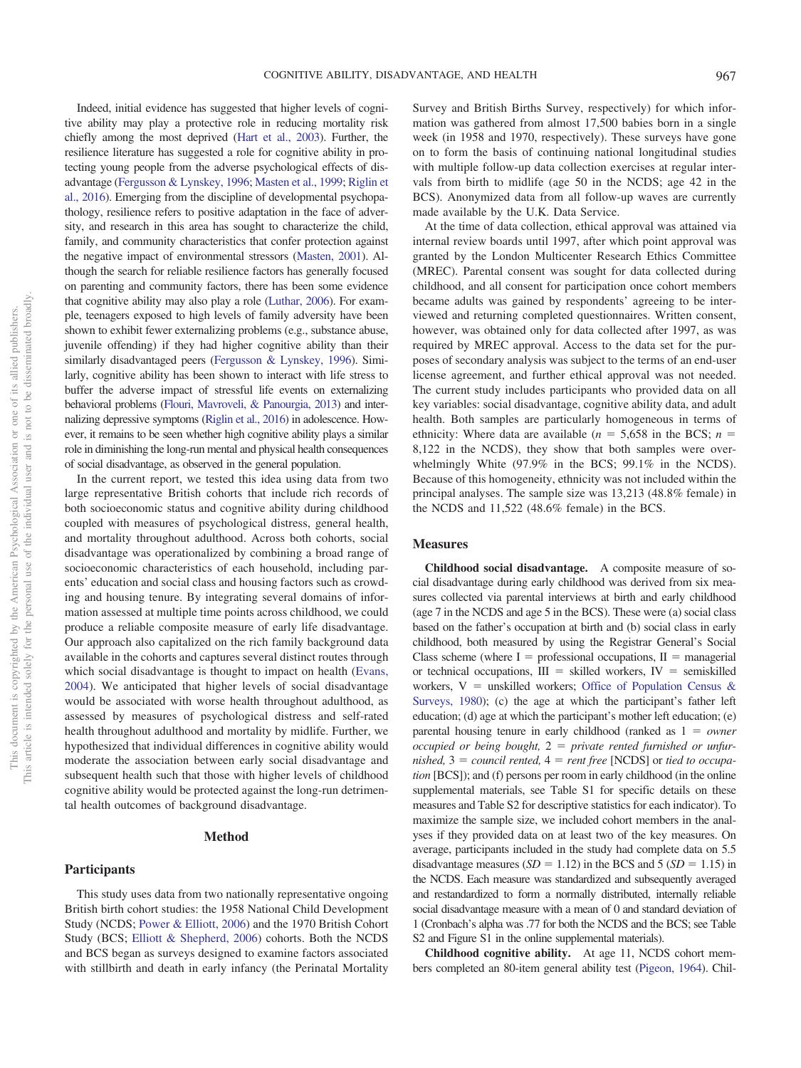Indeed, initial evidence has suggested that higher levels of cogni-Survey and British Births Survey, respectively) for which information was gathered from almost 17,500 babies born in a single week (in 1958 and 1970, respectively). These surveys have gone on to form the basis of continuing national longitudinal studies with multiple follow-up data collection exercises at regular intervals from birth to midlife (age 50 in the NCDS; age 42 in the BCS). Anonymized data from all follow-up waves are currently made available by the U.K. Data Service. At the time of data collection, ethical approval was attained via internal review boards until 1997, after which point approval was

granted by the London Multicenter Research Ethics Committee (MREC). Parental consent was sought for data collected during childhood, and all consent for participation once cohort members became adults was gained by respondents' agreeing to be interviewed and returning completed questionnaires. Written consent, however, was obtained only for data collected after 1997, as was required by MREC approval. Access to the data set for the purposes of secondary analysis was subject to the terms of an end-user license agreement, and further ethical approval was not needed. The current study includes participants who provided data on all key variables: social disadvantage, cognitive ability data, and adult health. Both samples are particularly homogeneous in terms of ethnicity: Where data are available  $(n = 5,658)$  in the BCS;  $n =$ 8,122 in the NCDS), they show that both samples were overwhelmingly White (97.9% in the BCS; 99.1% in the NCDS). Because of this homogeneity, ethnicity was not included within the principal analyses. The sample size was 13,213 (48.8% female) in the NCDS and 11,522 (48.6% female) in the BCS.

### **Measures**

**Childhood social disadvantage.** A composite measure of social disadvantage during early childhood was derived from six measures collected via parental interviews at birth and early childhood (age 7 in the NCDS and age 5 in the BCS). These were (a) social class based on the father's occupation at birth and (b) social class in early childhood, both measured by using the Registrar General's Social Class scheme (where  $I =$  professional occupations,  $II =$  managerial or technical occupations,  $III =$  skilled workers,  $IV =$  semiskilled workers,  $V =$  unskilled workers; [Office of Population Census &](#page-9-19) [Surveys, 1980\)](#page-9-19); (c) the age at which the participant's father left education; (d) age at which the participant's mother left education; (e) parental housing tenure in early childhood (ranked as  $1 = owner$ *occupied or being bought,*  $2 =$  *private rented furnished or unfurnished,*  $3 =$  *council rented,*  $4 =$  *rent free* [NCDS] or *tied to occupation* [BCS]); and (f) persons per room in early childhood (in the online supplemental materials, see Table S1 for specific details on these measures and Table S2 for descriptive statistics for each indicator). To maximize the sample size, we included cohort members in the analyses if they provided data on at least two of the key measures. On average, participants included in the study had complete data on 5.5 disadvantage measures  $(SD = 1.12)$  in the BCS and 5  $(SD = 1.15)$  in the NCDS. Each measure was standardized and subsequently averaged and restandardized to form a normally distributed, internally reliable social disadvantage measure with a mean of 0 and standard deviation of 1 (Cronbach's alpha was .77 for both the NCDS and the BCS; see Table S2 and Figure S1 in the online supplemental materials).

**Childhood cognitive ability.** At age 11, NCDS cohort members completed an 80-item general ability test [\(Pigeon, 1964\)](#page-9-20). Chil-

tive ability may play a protective role in reducing mortality risk chiefly among the most deprived [\(Hart et al., 2003\)](#page-9-10). Further, the resilience literature has suggested a role for cognitive ability in protecting young people from the adverse psychological effects of disadvantage [\(Fergusson & Lynskey, 1996;](#page-9-11) [Masten et al., 1999;](#page-9-12) [Riglin et](#page-9-13) [al., 2016\)](#page-9-13). Emerging from the discipline of developmental psychopathology, resilience refers to positive adaptation in the face of adversity, and research in this area has sought to characterize the child, family, and community characteristics that confer protection against the negative impact of environmental stressors [\(Masten, 2001\)](#page-9-14). Although the search for reliable resilience factors has generally focused on parenting and community factors, there has been some evidence that cognitive ability may also play a role [\(Luthar, 2006\)](#page-9-15). For example, teenagers exposed to high levels of family adversity have been shown to exhibit fewer externalizing problems (e.g., substance abuse, juvenile offending) if they had higher cognitive ability than their similarly disadvantaged peers [\(Fergusson & Lynskey, 1996\)](#page-9-11). Similarly, cognitive ability has been shown to interact with life stress to buffer the adverse impact of stressful life events on externalizing behavioral problems [\(Flouri, Mavroveli, & Panourgia, 2013\)](#page-9-16) and internalizing depressive symptoms [\(Riglin et al., 2016\)](#page-9-13) in adolescence. However, it remains to be seen whether high cognitive ability plays a similar role in diminishing the long-run mental and physical health consequences of social disadvantage, as observed in the general population.

In the current report, we tested this idea using data from two large representative British cohorts that include rich records of both socioeconomic status and cognitive ability during childhood coupled with measures of psychological distress, general health, and mortality throughout adulthood. Across both cohorts, social disadvantage was operationalized by combining a broad range of socioeconomic characteristics of each household, including parents' education and social class and housing factors such as crowding and housing tenure. By integrating several domains of information assessed at multiple time points across childhood, we could produce a reliable composite measure of early life disadvantage. Our approach also capitalized on the rich family background data available in the cohorts and captures several distinct routes through which social disadvantage is thought to impact on health [\(Evans,](#page-9-4) [2004\)](#page-9-4). We anticipated that higher levels of social disadvantage would be associated with worse health throughout adulthood, as assessed by measures of psychological distress and self-rated health throughout adulthood and mortality by midlife. Further, we hypothesized that individual differences in cognitive ability would moderate the association between early social disadvantage and subsequent health such that those with higher levels of childhood cognitive ability would be protected against the long-run detrimental health outcomes of background disadvantage.

### **Method**

### **Participants**

This study uses data from two nationally representative ongoing British birth cohort studies: the 1958 National Child Development Study (NCDS; [Power & Elliott, 2006\)](#page-9-17) and the 1970 British Cohort Study (BCS; [Elliott & Shepherd, 2006\)](#page-9-18) cohorts. Both the NCDS and BCS began as surveys designed to examine factors associated with stillbirth and death in early infancy (the Perinatal Mortality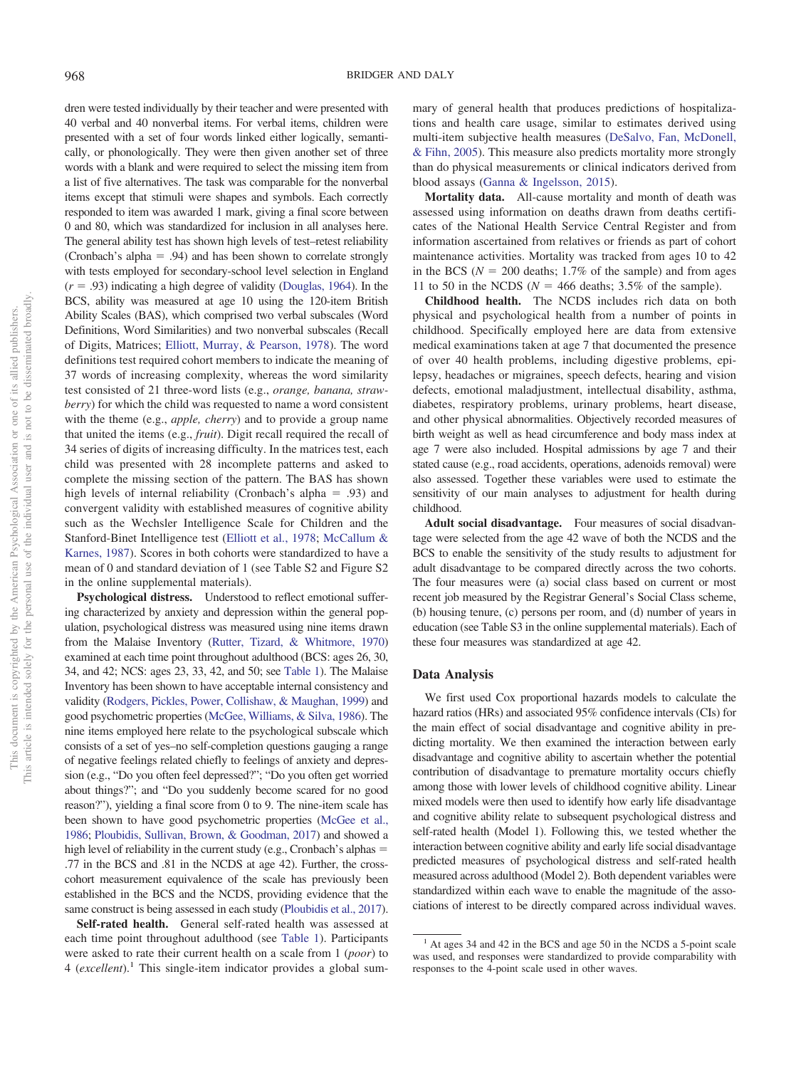dren were tested individually by their teacher and were presented with 40 verbal and 40 nonverbal items. For verbal items, children were presented with a set of four words linked either logically, semantically, or phonologically. They were then given another set of three words with a blank and were required to select the missing item from a list of five alternatives. The task was comparable for the nonverbal items except that stimuli were shapes and symbols. Each correctly responded to item was awarded 1 mark, giving a final score between 0 and 80, which was standardized for inclusion in all analyses here. The general ability test has shown high levels of test–retest reliability (Cronbach's alpha  $= .94$ ) and has been shown to correlate strongly with tests employed for secondary-school level selection in England  $(r = .93)$  indicating a high degree of validity [\(Douglas, 1964\)](#page-9-21). In the BCS, ability was measured at age 10 using the 120-item British Ability Scales (BAS), which comprised two verbal subscales (Word Definitions, Word Similarities) and two nonverbal subscales (Recall of Digits, Matrices; [Elliott, Murray, & Pearson, 1978\)](#page-9-22). The word definitions test required cohort members to indicate the meaning of 37 words of increasing complexity, whereas the word similarity test consisted of 21 three-word lists (e.g., *orange, banana, strawberry*) for which the child was requested to name a word consistent with the theme (e.g., *apple, cherry*) and to provide a group name that united the items (e.g., *fruit*). Digit recall required the recall of 34 series of digits of increasing difficulty. In the matrices test, each child was presented with 28 incomplete patterns and asked to complete the missing section of the pattern. The BAS has shown high levels of internal reliability (Cronbach's alpha  $= .93$ ) and convergent validity with established measures of cognitive ability such as the Wechsler Intelligence Scale for Children and the Stanford-Binet Intelligence test [\(Elliott et al., 1978;](#page-9-22) [McCallum &](#page-9-23) [Karnes, 1987\)](#page-9-23). Scores in both cohorts were standardized to have a mean of 0 and standard deviation of 1 (see Table S2 and Figure S2 in the online supplemental materials).

**Psychological distress.** Understood to reflect emotional suffering characterized by anxiety and depression within the general population, psychological distress was measured using nine items drawn from the Malaise Inventory [\(Rutter, Tizard, & Whitmore, 1970\)](#page-9-24) examined at each time point throughout adulthood (BCS: ages 26, 30, 34, and 42; NCS: ages 23, 33, 42, and 50; see [Table 1\)](#page-3-0). The Malaise Inventory has been shown to have acceptable internal consistency and validity [\(Rodgers, Pickles, Power, Collishaw, & Maughan, 1999\)](#page-9-25) and good psychometric properties [\(McGee, Williams, & Silva, 1986\)](#page-9-26). The nine items employed here relate to the psychological subscale which consists of a set of yes–no self-completion questions gauging a range of negative feelings related chiefly to feelings of anxiety and depression (e.g., "Do you often feel depressed?"; "Do you often get worried about things?"; and "Do you suddenly become scared for no good reason?"), yielding a final score from 0 to 9. The nine-item scale has been shown to have good psychometric properties [\(McGee et al.,](#page-9-26) [1986;](#page-9-26) [Ploubidis, Sullivan, Brown, & Goodman, 2017\)](#page-9-27) and showed a high level of reliability in the current study (e.g., Cronbach's alphas  $=$ .77 in the BCS and .81 in the NCDS at age 42). Further, the crosscohort measurement equivalence of the scale has previously been established in the BCS and the NCDS, providing evidence that the same construct is being assessed in each study [\(Ploubidis et al., 2017\)](#page-9-27).

**Self-rated health.** General self-rated health was assessed at each time point throughout adulthood (see [Table 1\)](#page-3-0). Participants were asked to rate their current health on a scale from 1 (*poor*) to 4 (*excellent*).<sup>1</sup> This single-item indicator provides a global summary of general health that produces predictions of hospitalizations and health care usage, similar to estimates derived using multi-item subjective health measures [\(DeSalvo, Fan, McDonell,](#page-8-4) [& Fihn, 2005\)](#page-8-4). This measure also predicts mortality more strongly than do physical measurements or clinical indicators derived from blood assays [\(Ganna & Ingelsson, 2015\)](#page-9-28).

**Mortality data.** All-cause mortality and month of death was assessed using information on deaths drawn from deaths certificates of the National Health Service Central Register and from information ascertained from relatives or friends as part of cohort maintenance activities. Mortality was tracked from ages 10 to 42 in the BCS ( $N = 200$  deaths; 1.7% of the sample) and from ages 11 to 50 in the NCDS ( $N = 466$  deaths; 3.5% of the sample).

**Childhood health.** The NCDS includes rich data on both physical and psychological health from a number of points in childhood. Specifically employed here are data from extensive medical examinations taken at age 7 that documented the presence of over 40 health problems, including digestive problems, epilepsy, headaches or migraines, speech defects, hearing and vision defects, emotional maladjustment, intellectual disability, asthma, diabetes, respiratory problems, urinary problems, heart disease, and other physical abnormalities. Objectively recorded measures of birth weight as well as head circumference and body mass index at age 7 were also included. Hospital admissions by age 7 and their stated cause (e.g., road accidents, operations, adenoids removal) were also assessed. Together these variables were used to estimate the sensitivity of our main analyses to adjustment for health during childhood.

**Adult social disadvantage.** Four measures of social disadvantage were selected from the age 42 wave of both the NCDS and the BCS to enable the sensitivity of the study results to adjustment for adult disadvantage to be compared directly across the two cohorts. The four measures were (a) social class based on current or most recent job measured by the Registrar General's Social Class scheme, (b) housing tenure, (c) persons per room, and (d) number of years in education (see Table S3 in the online supplemental materials). Each of these four measures was standardized at age 42.

### **Data Analysis**

We first used Cox proportional hazards models to calculate the hazard ratios (HRs) and associated 95% confidence intervals (CIs) for the main effect of social disadvantage and cognitive ability in predicting mortality. We then examined the interaction between early disadvantage and cognitive ability to ascertain whether the potential contribution of disadvantage to premature mortality occurs chiefly among those with lower levels of childhood cognitive ability. Linear mixed models were then used to identify how early life disadvantage and cognitive ability relate to subsequent psychological distress and self-rated health (Model 1). Following this, we tested whether the interaction between cognitive ability and early life social disadvantage predicted measures of psychological distress and self-rated health measured across adulthood (Model 2). Both dependent variables were standardized within each wave to enable the magnitude of the associations of interest to be directly compared across individual waves.

 $<sup>1</sup>$  At ages 34 and 42 in the BCS and age 50 in the NCDS a 5-point scale</sup> was used, and responses were standardized to provide comparability with responses to the 4-point scale used in other waves.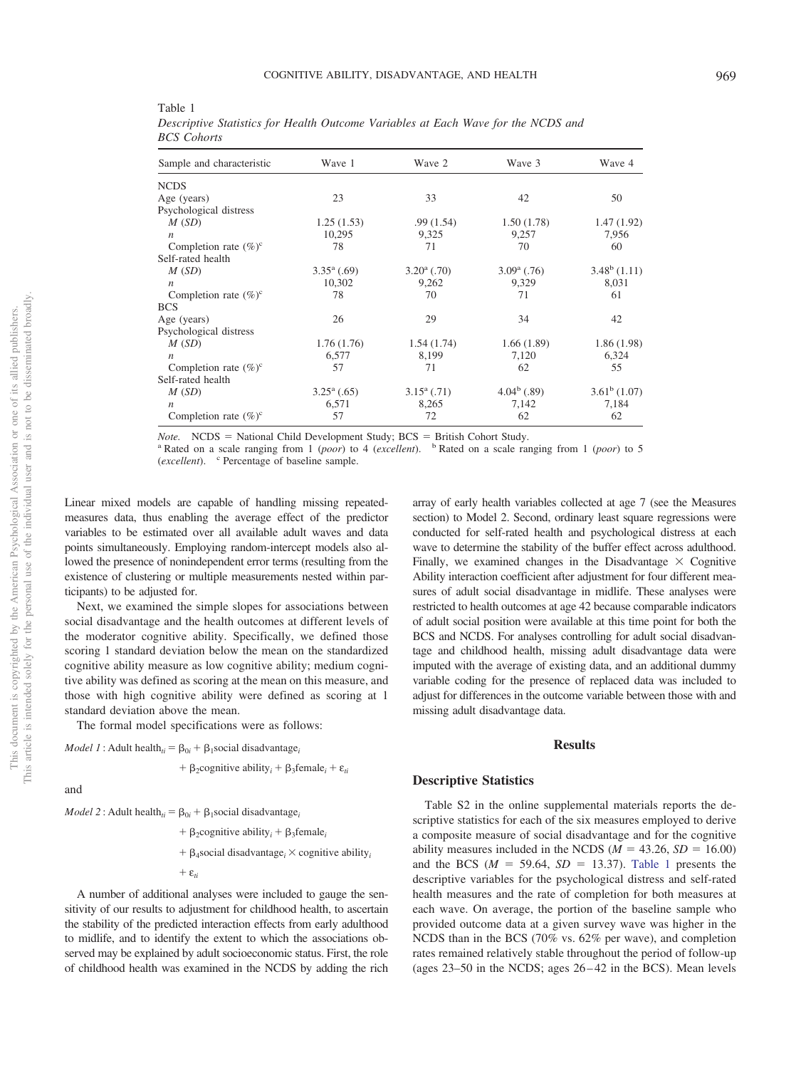| Sample and characteristic | Wave 1               | Wave 2               | Wave 3               | Wave 4         |
|---------------------------|----------------------|----------------------|----------------------|----------------|
| NCDS                      |                      |                      |                      |                |
| Age (years)               | 23                   | 33                   | 42                   | 50             |
| Psychological distress    |                      |                      |                      |                |
| M(SD)                     | 1.25(1.53)           | .99(1.54)            | 1.50(1.78)           | 1.47(1.92)     |
| $\boldsymbol{n}$          | 10,295               | 9,325                | 9,257                | 7,956          |
| Completion rate $(\%)^c$  | 78                   | 71                   | 70                   | 60             |
| Self-rated health         |                      |                      |                      |                |
| M(SD)                     | $3.35^{\rm a}$ (.69) | $3.20^{\rm a}$ (.70) | $3.09^{\rm a}$ (.76) | $3.48^b(1.11)$ |
| $\boldsymbol{n}$          | 10,302               | 9,262                | 9,329                | 8,031          |
| Completion rate $(\%)^c$  | 78                   | 70                   | 71                   | 61             |
| BCS                       |                      |                      |                      |                |
| Age (years)               | 26                   | 29                   | 34                   | 42             |
| Psychological distress    |                      |                      |                      |                |
| M(SD)                     | 1.76(1.76)           | 1.54(1.74)           | 1.66(1.89)           | 1.86(1.98)     |
| $\boldsymbol{n}$          | 6,577                | 8,199                | 7,120                | 6,324          |
| Completion rate $(\%)^c$  | 57                   | 71                   | 62                   | 55             |
| Self-rated health         |                      |                      |                      |                |
| M(SD)                     | $3.25^{\rm a}$ (.65) | $3.15^{\rm a}$ (.71) | $4.04^b$ (.89)       | $3.61^b(1.07)$ |
| $\boldsymbol{n}$          | 6,571                | 8,265                | 7,142                | 7,184          |
| Completion rate $(\%)^c$  | 57                   | 72                   | 62                   | 62             |

<span id="page-3-0"></span>Table 1 *Descriptive Statistics for Health Outcome Variables at Each Wave for the NCDS and BCS Cohorts*

 $Note. NCDS = National Child Development Study; BCS =$ 

<sup>a</sup> Rated on a scale ranging from 1 (*poor*) to 4 (*excellent*). <sup>b</sup> Rated on a scale ranging from 1 (*poor*) to 5 (*excellent*). <sup>c</sup> Percentage of baseline sample.

Linear mixed models are capable of handling missing repeatedmeasures data, thus enabling the average effect of the predictor variables to be estimated over all available adult waves and data points simultaneously. Employing random-intercept models also allowed the presence of nonindependent error terms (resulting from the existence of clustering or multiple measurements nested within participants) to be adjusted for.

Next, we examined the simple slopes for associations between social disadvantage and the health outcomes at different levels of the moderator cognitive ability. Specifically, we defined those scoring 1 standard deviation below the mean on the standardized cognitive ability measure as low cognitive ability; medium cognitive ability was defined as scoring at the mean on this measure, and those with high cognitive ability were defined as scoring at 1 standard deviation above the mean.

The formal model specifications were as follows:

*Model 1* : Adult health<sub>*ti*</sub> =  $\beta_{0i}$  +  $\beta_1$ social disadvantage<sub>*i*</sub>

+ 
$$
\beta_2
$$
 cognitive ability<sub>i</sub> +  $\beta_3$ female<sub>i</sub> +  $\varepsilon_{ti}$ 

and

*Model* 2 : Adult health<sub>*ii*</sub> =  $\beta_{0i} + \beta_1$ social disadvantage<sub>*i*</sub>

 $+ \beta_2$ cognitive ability<sub>*i*</sub> +  $\beta_3$ female<sub>*i*</sub>

 $+ \beta_4$ social disadvantage<sub>i</sub>  $\times$  cognitive ability<sub>i</sub>

 $+$  $\varepsilon$ 

A number of additional analyses were included to gauge the sensitivity of our results to adjustment for childhood health, to ascertain the stability of the predicted interaction effects from early adulthood to midlife, and to identify the extent to which the associations observed may be explained by adult socioeconomic status. First, the role of childhood health was examined in the NCDS by adding the rich array of early health variables collected at age 7 (see the Measures section) to Model 2. Second, ordinary least square regressions were conducted for self-rated health and psychological distress at each wave to determine the stability of the buffer effect across adulthood. Finally, we examined changes in the Disadvantage  $\times$  Cognitive Ability interaction coefficient after adjustment for four different measures of adult social disadvantage in midlife. These analyses were restricted to health outcomes at age 42 because comparable indicators of adult social position were available at this time point for both the BCS and NCDS. For analyses controlling for adult social disadvantage and childhood health, missing adult disadvantage data were imputed with the average of existing data, and an additional dummy variable coding for the presence of replaced data was included to adjust for differences in the outcome variable between those with and missing adult disadvantage data.

### **Results**

### **Descriptive Statistics**

Table S2 in the online supplemental materials reports the descriptive statistics for each of the six measures employed to derive a composite measure of social disadvantage and for the cognitive ability measures included in the NCDS ( $M = 43.26$ ,  $SD = 16.00$ ) and the BCS  $(M = 59.64, SD = 13.37)$ . [Table 1](#page-3-0) presents the descriptive variables for the psychological distress and self-rated health measures and the rate of completion for both measures at each wave. On average, the portion of the baseline sample who provided outcome data at a given survey wave was higher in the NCDS than in the BCS (70% vs. 62% per wave), and completion rates remained relatively stable throughout the period of follow-up (ages 23–50 in the NCDS; ages 26 – 42 in the BCS). Mean levels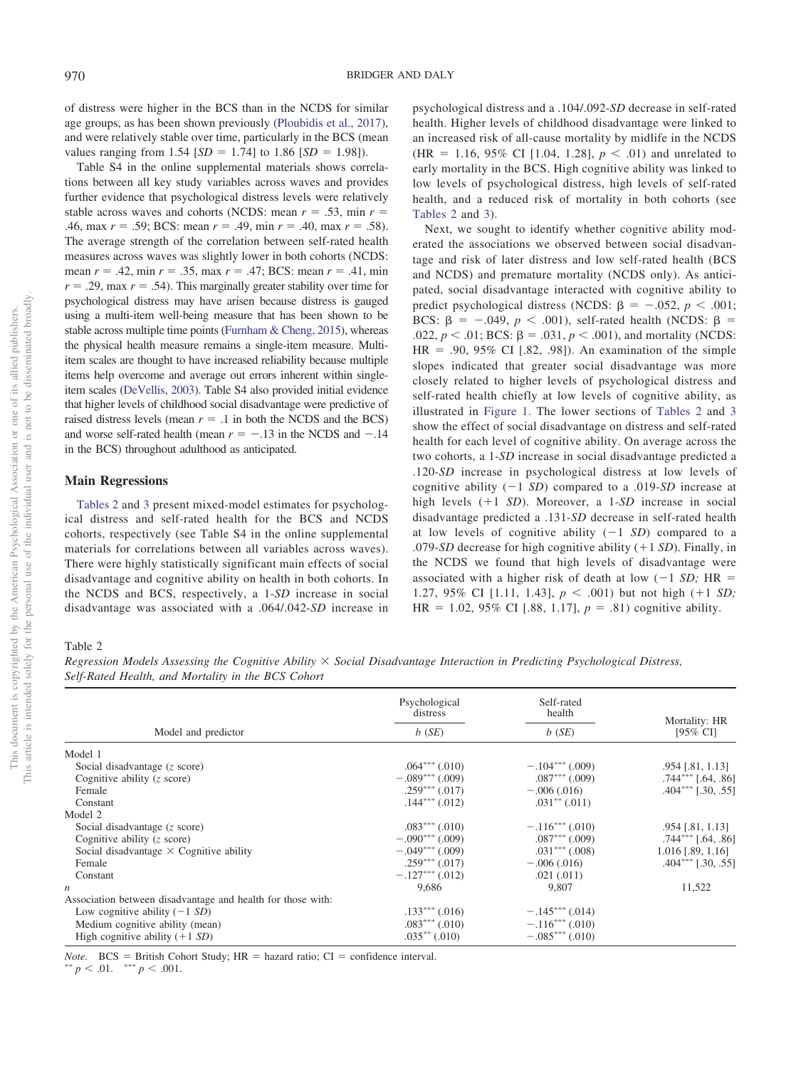of distress were higher in the BCS than in the NCDS for similar age groups, as has been shown previously [\(Ploubidis et al., 2017\)](#page-9-27), and were relatively stable over time, particularly in the BCS (mean values ranging from  $1.54$  [ $SD = 1.74$ ] to  $1.86$  [ $SD = 1.98$ ]).

Table S4 in the online supplemental materials shows correlations between all key study variables across waves and provides further evidence that psychological distress levels were relatively stable across waves and cohorts (NCDS: mean  $r = .53$ , min  $r =$ .46, max  $r = .59$ ; BCS: mean  $r = .49$ , min  $r = .40$ , max  $r = .58$ ). The average strength of the correlation between self-rated health measures across waves was slightly lower in both cohorts (NCDS: mean *r* = .42, min *r* = .35, max *r* = .47; BCS: mean *r* = .41, min  $r = .29$ , max  $r = .54$ ). This marginally greater stability over time for psychological distress may have arisen because distress is gauged using a multi-item well-being measure that has been shown to be stable across multiple time points [\(Furnham & Cheng, 2015\)](#page-9-29), whereas the physical health measure remains a single-item measure. Multiitem scales are thought to have increased reliability because multiple items help overcome and average out errors inherent within singleitem scales [\(DeVellis, 2003\)](#page-8-5). Table S4 also provided initial evidence that higher levels of childhood social disadvantage were predictive of raised distress levels (mean  $r = .1$  in both the NCDS and the BCS) and worse self-rated health (mean  $r = -.13$  in the NCDS and  $-.14$ in the BCS) throughout adulthood as anticipated.

### **Main Regressions**

[Tables 2](#page-4-0) and [3](#page-5-0) present mixed-model estimates for psychological distress and self-rated health for the BCS and NCDS cohorts, respectively (see Table S4 in the online supplemental materials for correlations between all variables across waves). There were highly statistically significant main effects of social disadvantage and cognitive ability on health in both cohorts. In the NCDS and BCS, respectively, a 1-*SD* increase in social disadvantage was associated with a .064/.042-*SD* increase in

psychological distress and a .104/.092-*SD* decrease in self-rated health. Higher levels of childhood disadvantage were linked to an increased risk of all-cause mortality by midlife in the NCDS  $(HR = 1.16, 95\% \text{ CI} [1.04, 1.28], p < .01)$  and unrelated to early mortality in the BCS. High cognitive ability was linked to low levels of psychological distress, high levels of self-rated health, and a reduced risk of mortality in both cohorts (see [Tables 2](#page-4-0) and [3\)](#page-5-0).

Next, we sought to identify whether cognitive ability moderated the associations we observed between social disadvantage and risk of later distress and low self-rated health (BCS and NCDS) and premature mortality (NCDS only). As anticipated, social disadvantage interacted with cognitive ability to predict psychological distress (NCDS:  $\beta = -.052, p < .001;$ BCS:  $\beta$  = -.049,  $p < .001$ ), self-rated health (NCDS:  $\beta$  =  $.022, p < .01$ ; BCS:  $\beta = .031, p < .001$ ), and mortality (NCDS:  $HR = .90, 95\% \text{ CI}$  [.82, .98]). An examination of the simple slopes indicated that greater social disadvantage was more closely related to higher levels of psychological distress and self-rated health chiefly at low levels of cognitive ability, as illustrated in [Figure 1.](#page-6-0) The lower sections of [Tables 2](#page-4-0) and [3](#page-5-0) show the effect of social disadvantage on distress and self-rated health for each level of cognitive ability. On average across the two cohorts, a 1-*SD* increase in social disadvantage predicted a .120-*SD* increase in psychological distress at low levels of cognitive ability  $(-1 SD)$  compared to a .019-*SD* increase at high levels (+1 *SD*). Moreover, a 1-*SD* increase in social disadvantage predicted a .131-*SD* decrease in self-rated health at low levels of cognitive ability  $(-1 S D)$  compared to a .079-*SD* decrease for high cognitive ability  $(+1 SD)$ . Finally, in the NCDS we found that high levels of disadvantage were associated with a higher risk of death at low  $(-1 S D; HR =$ 1.27, 95% CI [1.11, 1.43],  $p < .001$ ) but not high (+1 *SD*;  $HR = 1.02, 95\% \text{ CI}$  [.88, 1.17],  $p = .81$ ) cognitive ability.

### <span id="page-4-0"></span>Table 2

*Regression Models Assessing the Cognitive Ability Social Disadvantage Interaction in Predicting Psychological Distress, Self-Rated Health, and Mortality in the BCS Cohort*

|                                                             | Psychological<br>distress | Self-rated<br>health | Mortality: HR            |
|-------------------------------------------------------------|---------------------------|----------------------|--------------------------|
| Model and predictor                                         | $b$ (SE)                  | b(SE)                | [95% CI]                 |
| Model 1                                                     |                           |                      |                          |
| Social disadvantage $(z \text{ score})$                     | $.064***$ $(.010)$        | $-.104***$ (.009)    | .954 [.81, 1.13]         |
| Cognitive ability $(z, \text{score})$                       | $-.089***$ (.009)         | $.087***$ (.009)     | $.744***$ $-.64$ , $.86$ |
| Female                                                      | $.259***$ $(.017)$        | $-.006(.016)$        | $.404***$ [.30, .55]     |
| Constant                                                    | $.144***$ $(.012)$        | $.031***$ $(.011)$   |                          |
| Model 2                                                     |                           |                      |                          |
| Social disadvantage $(z \text{ score})$                     | $.083***$ $(.010)$        | $-.116***$ (.010)    | $.954$ [.81, 1.13]       |
| Cognitive ability $(z \text{ score})$                       | $-.090***$ (.009)         | $.087***$ $(.009)$   | $.744***$ [.64, .86]     |
| Social disadvantage $\times$ Cognitive ability              | $-.049***(009)$           | $.031***$ $(.008)$   | $1.016$ [.89, 1.16]      |
| Female                                                      | $.259***$ $(.017)$        | $-.006(.016)$        | $.404***$ [.30, .55]     |
| Constant                                                    | $-.127***$ (.012)         | $.021 \,(.011)$      |                          |
| $\boldsymbol{n}$                                            | 9,686                     | 9,807                | 11,522                   |
| Association between disadvantage and health for those with: |                           |                      |                          |
| Low cognitive ability $(-1 SD)$                             | $.133***$ $(.016)$        | $-.145***(.014)$     |                          |
| Medium cognitive ability (mean)                             | $.083***$ $(.010)$        | $-.116***$ (.010)    |                          |
| High cognitive ability $(+1 S D)$                           | $.035***(.010)$           | $-.085***(010)$      |                          |

*Note.* BCS = British Cohort Study;  $HR =$  hazard ratio;  $CI =$  confidence interval.

 $p < .01.$  \*\*\*  $p < .001.$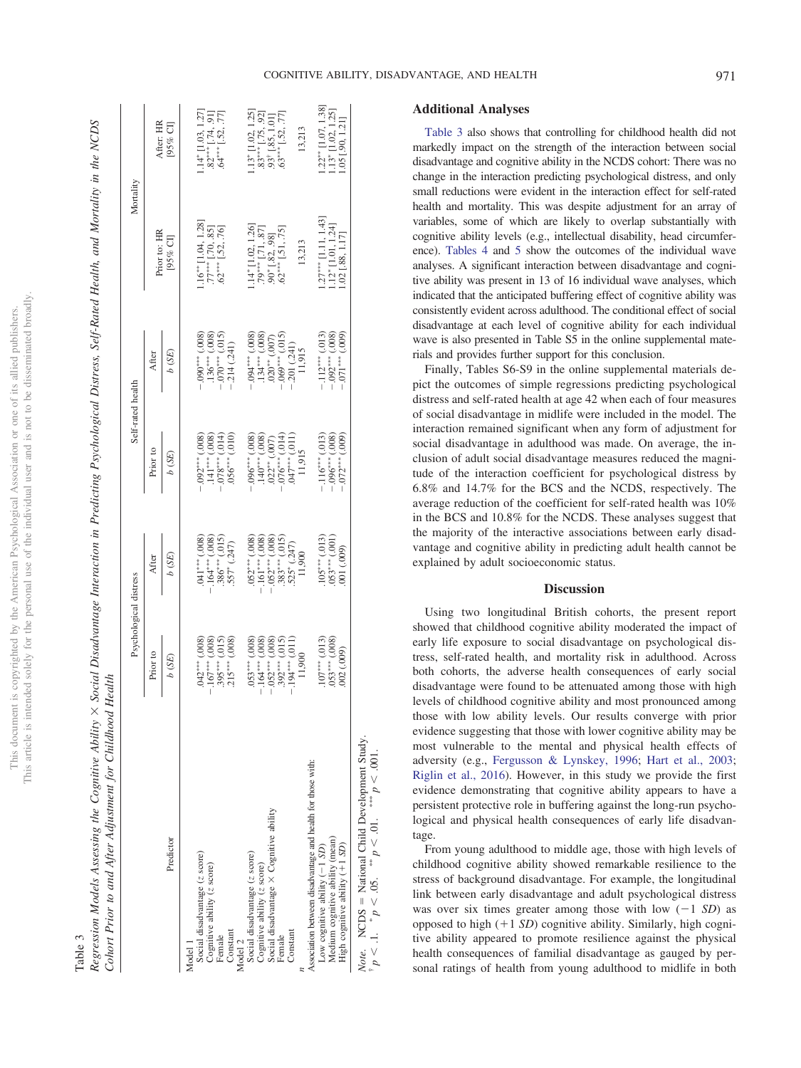# This article is intended solely for the personal use of the individual user and is not to be disseminated broadly. This article is intended solely for the personal use of the individual user and is not to be disseminated broadly. This document is copyrighted by the American Psychological Association or one of its allied publishers. This document is copyrighted by the American Psychological Association or one of its allied publishers.

## <span id="page-5-0"></span>Table 3

Regression Models Assessing the Cognitive Ability × Social Disadvantage Interaction in Predicting Psychological Distress, Self-Rated Health, and Mortality in the NCDS X Social Disadvantage Interaction in Predicting Psychological Distress, Self-Rated Health, and Mortality in the NCDS Cohort Prior to and After Adjustment for Childhood Health *Cohort Prior to and After Adjustment for Childhood Health* Table 3 *Regression Models Assessing the Cognitive Ability*

|                                                                                                      | Psychological distress                                                                                                                                      |                                                                                                                                |                                                                                                                                         | Self-rated health                                                                                             | Mortality                                                                                                                                                                      |                                                                                                                                                                                             |
|------------------------------------------------------------------------------------------------------|-------------------------------------------------------------------------------------------------------------------------------------------------------------|--------------------------------------------------------------------------------------------------------------------------------|-----------------------------------------------------------------------------------------------------------------------------------------|---------------------------------------------------------------------------------------------------------------|--------------------------------------------------------------------------------------------------------------------------------------------------------------------------------|---------------------------------------------------------------------------------------------------------------------------------------------------------------------------------------------|
|                                                                                                      | Prior to                                                                                                                                                    | After                                                                                                                          | Prior to                                                                                                                                | After                                                                                                         | Prior to: HR                                                                                                                                                                   | After: HR                                                                                                                                                                                   |
| Predictor                                                                                            | b (SE)                                                                                                                                                      | b(SE)                                                                                                                          | b(SE)                                                                                                                                   | b(SE)                                                                                                         | [ $95%$ CI]                                                                                                                                                                    | [95% CI]                                                                                                                                                                                    |
| Model 1                                                                                              |                                                                                                                                                             |                                                                                                                                |                                                                                                                                         |                                                                                                               |                                                                                                                                                                                |                                                                                                                                                                                             |
| Social disadvantage (z score)                                                                        |                                                                                                                                                             |                                                                                                                                |                                                                                                                                         |                                                                                                               |                                                                                                                                                                                |                                                                                                                                                                                             |
| Cognitive ability (z score)                                                                          |                                                                                                                                                             |                                                                                                                                |                                                                                                                                         |                                                                                                               | $\begin{array}{c} 1.16^{***} \left[ 1.04 , 1.28 \right] \\ .77^{***} \left[ .70 , .85 \right] \\ .62^{***} \left[ .52 , .76 \right] \end{array}$                               | $1.14$ <sup>*</sup> [1.03, 1.27]<br>$.82$ <sup>***</sup> [.74, 91]<br>$.64$ <sup>***</sup> [.52, .77]                                                                                       |
| Female                                                                                               |                                                                                                                                                             |                                                                                                                                |                                                                                                                                         |                                                                                                               |                                                                                                                                                                                |                                                                                                                                                                                             |
| Constant                                                                                             | $\begin{array}{c} .042^{***}(.008) \\ - .167^{***}(.008) \\ .395^{***}(.015) \\ .215^{***}(.015) \end{array}$                                               | $\begin{array}{rl} .041^{***}(.008) \\ -164^{***}(.008) \\ .386^{***}(.015) \\ .386^{***}(.015) \\ .557^{*}(.247) \end{array}$ | $-0.02$ <sup>***</sup> (.008)<br>.141 <sup>***</sup> (.008)<br>.141*** (.008)<br>.010) .*** (.014)                                      | $-0.90$ <sup>***</sup> (.008)<br>.136 <sup>***</sup> (.008)<br>-.070*** (.015)<br>-.214 (.241)                |                                                                                                                                                                                |                                                                                                                                                                                             |
| Model 2                                                                                              |                                                                                                                                                             |                                                                                                                                |                                                                                                                                         |                                                                                                               |                                                                                                                                                                                |                                                                                                                                                                                             |
| Social disadvantage (z score)                                                                        |                                                                                                                                                             | $-0.52***(0.008)$<br>-161****(.008)                                                                                            |                                                                                                                                         | $(800^{\circ})$ **** $60^{\circ}$                                                                             |                                                                                                                                                                                |                                                                                                                                                                                             |
| Cognitive ability (z score)                                                                          |                                                                                                                                                             |                                                                                                                                |                                                                                                                                         |                                                                                                               |                                                                                                                                                                                |                                                                                                                                                                                             |
| Social disadvantage × Cognitive ability                                                              |                                                                                                                                                             |                                                                                                                                |                                                                                                                                         |                                                                                                               |                                                                                                                                                                                |                                                                                                                                                                                             |
| Female                                                                                               |                                                                                                                                                             | $-0.52***$ (.008)<br>.383*** (.015)                                                                                            |                                                                                                                                         |                                                                                                               | $\begin{array}{l} 1.14^* \left[ 1.02 , 1.26 \right] \\ .79^{***} \left[ .71 , .87 \right] \\ .90^* \left[ .82 , .98 \right] \\ .62^{***} \left[ .51 , .75 \right] \end{array}$ | $\begin{array}{l} 1.13^* \left[ 1.02, \, 1.25 \right] \\ 0.83^{***} \left[ .75, \, .92 \right] \\ 0.93^* \left[ .85, \, .1.01 \right] \\ 0.83^{***} \left[ .52, \, .77 \right] \end{array}$ |
| Constant                                                                                             | $\begin{array}{l} .053^{***}(.008) \\ -.164^{***}(.008) \\ -.052^{***}(.008) \\ -.052^{***}(.008) \\ -.052^{***}(.015) \\ -.194^{***}(.015) \\ \end{array}$ | $.525^* (0.247)$                                                                                                               | $-0.96$ *** $(.008)$<br>$140$ *** $(.008)$<br>$0.22$ ** $(.007)$<br>$-0.76$ *** $(.014)$<br>$-0.76$ *** $(.014)$<br>$0.47$ *** $(.011)$ | $\begin{array}{c} .134^{***}(.008)\\ .020^{**}(.007)\\ -.069^{***}(.015)\\ -.201~(.241)\\ -1.915 \end{array}$ |                                                                                                                                                                                |                                                                                                                                                                                             |
|                                                                                                      | 11,900                                                                                                                                                      | 11,900                                                                                                                         |                                                                                                                                         |                                                                                                               | 13,213                                                                                                                                                                         | 13,213                                                                                                                                                                                      |
| Association between disadvantage and health for those with:                                          |                                                                                                                                                             |                                                                                                                                |                                                                                                                                         |                                                                                                               |                                                                                                                                                                                |                                                                                                                                                                                             |
| Low cognitive ability $(-1 SD)$                                                                      |                                                                                                                                                             |                                                                                                                                | $-116***$ (.013)<br>$-0.06***$ (.008)<br>$-0.072***$ (.009)                                                                             | $-112***$ (.013)<br>$-092***$ (.008)<br>$-0.01***$ (.009)                                                     | $.27***$ [1.11, 1.43]                                                                                                                                                          |                                                                                                                                                                                             |
| Medium cognitive ability (mean)                                                                      | $.107***(.013)$<br>$.053***(.008)$                                                                                                                          | $\begin{array}{c} 105^{***}(.013) \\ 053^{***}(.001) \\ 001 (.009) \end{array}$                                                |                                                                                                                                         |                                                                                                               | $1.12^*$ [1.01, 1.24]<br>1.02 [.88, 1.17]                                                                                                                                      | $\begin{array}{c} 1.22^{**} \left[ 1.07, 1.38 \right] \\ 1.13^{*} \left[ 1.02, 1.25 \right] \\ 1.05 \left[ .90, 1.21 \right] \end{array}$                                                   |
| High cognitive ability $(+1 SD)$                                                                     | 002 (.009)                                                                                                                                                  |                                                                                                                                |                                                                                                                                         |                                                                                                               |                                                                                                                                                                                |                                                                                                                                                                                             |
| Note. NCDS = National Child Development Study.<br>$p < 1$ . $p < .05$ . $m_p < .01$ . $m_p < .001$ . |                                                                                                                                                             |                                                                                                                                |                                                                                                                                         |                                                                                                               |                                                                                                                                                                                |                                                                                                                                                                                             |

### **Additional Analyses**

[Table 3](#page-5-0) also shows that controlling for childhood health did not markedly impact on the strength of the interaction between social disadvantage and cognitive ability in the NCDS cohort: There was no change in the interaction predicting psychological distress, and only small reductions were evident in the interaction effect for self-rated health and mortality. This was despite adjustment for an array of variables, some of which are likely to overlap substantially with cognitive ability levels (e.g., intellectual disability, head circumference). [Tables 4](#page-7-0) and [5](#page-7-1) show the outcomes of the individual wave analyses. A significant interaction between disadvantage and cognitive ability was present in 13 of 16 individual wave analyses, which indicated that the anticipated buffering effect of cognitive ability was consistently evident across adulthood. The conditional effect of social disadvantage at each level of cognitive ability for each individual wave is also presented in Table S5 in the online supplemental materials and provides further support for this conclusion.

Finally, Tables S6-S9 in the online supplemental materials depict the outcomes of simple regressions predicting psychological distress and self-rated health at age 42 when each of four measures of social disadvantage in midlife were included in the model. The interaction remained significant when any form of adjustment for social disadvantage in adulthood was made. On average, the inclusion of adult social disadvantage measures reduced the magnitude of the interaction coefficient for psychological distress by 6.8% and 14.7% for the BCS and the NCDS, respectively. The average reduction of the coefficient for self-rated health was 10% in the BCS and 10.8% for the NCDS. These analyses suggest that the majority of the interactive associations between early disadvantage and cognitive ability in predicting adult health cannot be explained by adult socioeconomic status.

### **Discussion**

Using two longitudinal British cohorts, the present report showed that childhood cognitive ability moderated the impact of early life exposure to social disadvantage on psychological distress, self-rated health, and mortality risk in adulthood. Across both cohorts, the adverse health consequences of early social disadvantage were found to be attenuated among those with high levels of childhood cognitive ability and most pronounced among those with low ability levels. Our results converge with prior evidence suggesting that those with lower cognitive ability may be most vulnerable to the mental and physical health effects of adversity (e.g., [Fergusson & Lynskey, 1996;](#page-9-11) [Hart et al., 2003;](#page-9-10) [Riglin et al., 2016\)](#page-9-13). However, in this study we provide the first evidence demonstrating that cognitive ability appears to have a persistent protective role in buffering against the long-run psychological and physical health consequences of early life disadvantage.

From young adulthood to middle age, those with high levels of childhood cognitive ability showed remarkable resilience to the stress of background disadvantage. For example, the longitudinal link between early disadvantage and adult psychological distress was over six times greater among those with low  $(-1 SD)$  as opposed to high  $(+1 S<sub>D</sub>)$  cognitive ability. Similarly, high cognitive ability appeared to promote resilience against the physical health consequences of familial disadvantage as gauged by personal ratings of health from young adulthood to midlife in both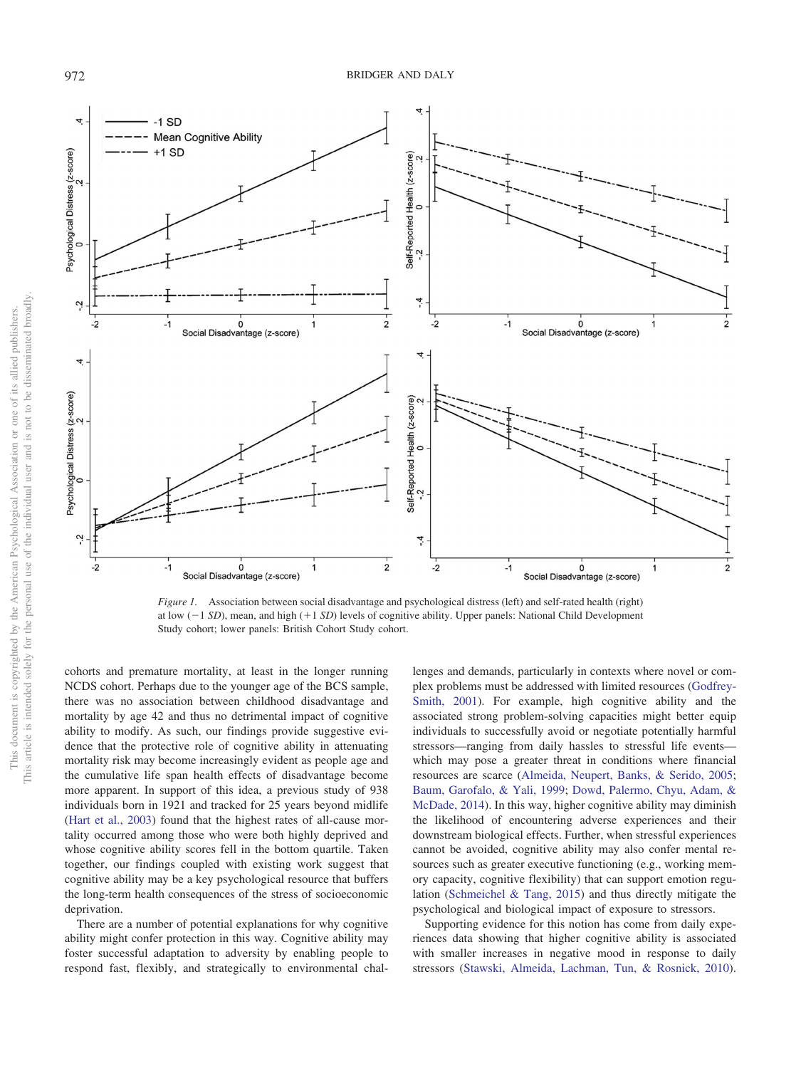

<span id="page-6-0"></span>*Figure 1.* Association between social disadvantage and psychological distress (left) and self-rated health (right) at low (-1 *SD*), mean, and high (+1 *SD*) levels of cognitive ability. Upper panels: National Child Development Study cohort; lower panels: British Cohort Study cohort.

cohorts and premature mortality, at least in the longer running NCDS cohort. Perhaps due to the younger age of the BCS sample, there was no association between childhood disadvantage and mortality by age 42 and thus no detrimental impact of cognitive ability to modify. As such, our findings provide suggestive evidence that the protective role of cognitive ability in attenuating mortality risk may become increasingly evident as people age and the cumulative life span health effects of disadvantage become more apparent. In support of this idea, a previous study of 938 individuals born in 1921 and tracked for 25 years beyond midlife [\(Hart et al., 2003\)](#page-9-10) found that the highest rates of all-cause mortality occurred among those who were both highly deprived and whose cognitive ability scores fell in the bottom quartile. Taken together, our findings coupled with existing work suggest that cognitive ability may be a key psychological resource that buffers the long-term health consequences of the stress of socioeconomic deprivation.

There are a number of potential explanations for why cognitive ability might confer protection in this way. Cognitive ability may foster successful adaptation to adversity by enabling people to respond fast, flexibly, and strategically to environmental chal-

lenges and demands, particularly in contexts where novel or complex problems must be addressed with limited resources [\(Godfrey-](#page-9-8)[Smith, 2001\)](#page-9-8). For example, high cognitive ability and the associated strong problem-solving capacities might better equip individuals to successfully avoid or negotiate potentially harmful stressors—ranging from daily hassles to stressful life events which may pose a greater threat in conditions where financial resources are scarce [\(Almeida, Neupert, Banks, & Serido, 2005;](#page-8-6) [Baum, Garofalo, & Yali, 1999;](#page-8-7) [Dowd, Palermo, Chyu, Adam, &](#page-9-30) [McDade, 2014\)](#page-9-30). In this way, higher cognitive ability may diminish the likelihood of encountering adverse experiences and their downstream biological effects. Further, when stressful experiences cannot be avoided, cognitive ability may also confer mental resources such as greater executive functioning (e.g., working memory capacity, cognitive flexibility) that can support emotion regulation [\(Schmeichel & Tang, 2015\)](#page-9-31) and thus directly mitigate the psychological and biological impact of exposure to stressors.

Supporting evidence for this notion has come from daily experiences data showing that higher cognitive ability is associated with smaller increases in negative mood in response to daily stressors [\(Stawski, Almeida, Lachman, Tun, & Rosnick, 2010\)](#page-10-2).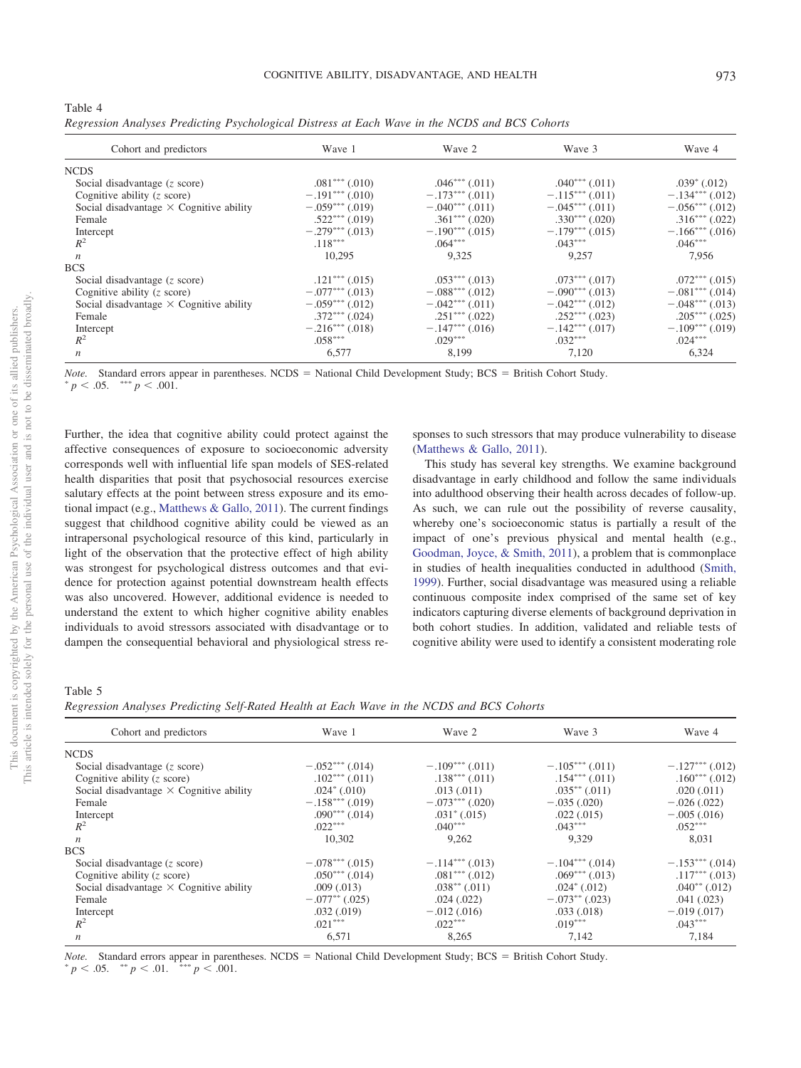<span id="page-7-0"></span>

| Table 4                                                                                        |  |  |  |  |
|------------------------------------------------------------------------------------------------|--|--|--|--|
| Regression Analyses Predicting Psychological Distress at Each Wave in the NCDS and BCS Cohorts |  |  |  |  |

| Cohort and predictors                          | Wave 1             | Wave 2             | Wave 3             | Wave 4             |
|------------------------------------------------|--------------------|--------------------|--------------------|--------------------|
| <b>NCDS</b>                                    |                    |                    |                    |                    |
| Social disadvantage $(z \text{ score})$        | $.081***$ $(.010)$ | $.046***$ $(.011)$ | $.040***$ $(.011)$ | $.039^*$ (.012)    |
| Cognitive ability $(z \text{ score})$          | $-.191***(.010)$   | $-.173***$ (.011)  | $-.115***(.011)$   | $-.134***(.012)$   |
| Social disadvantage $\times$ Cognitive ability | $-.059***(.019)$   | $-.040***(.011)$   | $-.045***(.011)$   | $-.056***$ (.012)  |
| Female                                         | $.522***$ $(.019)$ | $.361***$ $(.020)$ | $.330***$ $(.020)$ | $.316***$ $(.022)$ |
| Intercept                                      | $-.279***(.013)$   | $-.190***(.015)$   | $-.179***(.015)$   | $-.166***$ (.016)  |
| $R^2$                                          | $.118***$          | $.064***$          | $.043***$          | $.046***$          |
| $\boldsymbol{n}$                               | 10.295             | 9.325              | 9.257              | 7,956              |
| <b>BCS</b>                                     |                    |                    |                    |                    |
| Social disadvantage $(z \text{ score})$        | $.121***$ $(.015)$ | $.053***$ $(.013)$ | $.073***$ $(.017)$ | $.072***(.015)$    |
| Cognitive ability $(z \text{ score})$          | $-.077***$ (.013)  | $-.088***(012)$    | $-.090***(.013)$   | $-.081***$ (.014)  |
| Social disadvantage $\times$ Cognitive ability | $-.059***(.012)$   | $-.042***$ (.011)  | $-.042***(.012)$   | $-.048***(.013)$   |
| Female                                         | $.372***$ $(.024)$ | $.251***$ $(.022)$ | $.252***$ $(.023)$ | $.205***$ $(.025)$ |
| Intercept                                      | $-.216***(.018)$   | $-.147***(.016)$   | $-.142***(.017)$   | $-.109***(.019)$   |
| $R^2$                                          | $.058***$          | $.029***$          | $.032***$          | $.024***$          |
| $\boldsymbol{n}$                               | 6,577              | 8,199              | 7,120              | 6,324              |

*Note.* Standard errors appear in parentheses. NCDS = National Child Development Study; BCS = British Cohort Study.<br>\* p < 05 \*\*\* p < 001

Further, the idea that cognitive ability could protect against the affective consequences of exposure to socioeconomic adversity corresponds well with influential life span models of SES-related health disparities that posit that psychosocial resources exercise salutary effects at the point between stress exposure and its emotional impact (e.g., [Matthews & Gallo, 2011\)](#page-9-5). The current findings suggest that childhood cognitive ability could be viewed as an intrapersonal psychological resource of this kind, particularly in light of the observation that the protective effect of high ability was strongest for psychological distress outcomes and that evidence for protection against potential downstream health effects was also uncovered. However, additional evidence is needed to understand the extent to which higher cognitive ability enables individuals to avoid stressors associated with disadvantage or to dampen the consequential behavioral and physiological stress re-

sponses to such stressors that may produce vulnerability to disease [\(Matthews & Gallo, 2011\)](#page-9-5).

This study has several key strengths. We examine background disadvantage in early childhood and follow the same individuals into adulthood observing their health across decades of follow-up. As such, we can rule out the possibility of reverse causality, whereby one's socioeconomic status is partially a result of the impact of one's previous physical and mental health (e.g., [Goodman, Joyce, & Smith, 2011\)](#page-9-32), a problem that is commonplace in studies of health inequalities conducted in adulthood [\(Smith,](#page-10-3) [1999\)](#page-10-3). Further, social disadvantage was measured using a reliable continuous composite index comprised of the same set of key indicators capturing diverse elements of background deprivation in both cohort studies. In addition, validated and reliable tests of cognitive ability were used to identify a consistent moderating role

### <span id="page-7-1"></span>Table 5

*Regression Analyses Predicting Self-Rated Health at Each Wave in the NCDS and BCS Cohorts*

| Cohort and predictors                          | Wave 1             | Wave 2             | Wave 3             | Wave 4             |
|------------------------------------------------|--------------------|--------------------|--------------------|--------------------|
| <b>NCDS</b>                                    |                    |                    |                    |                    |
| Social disadvantage $(z \text{ score})$        | $-.052***$ (.014)  | $-.109***(.011)$   | $-.105***$ (.011)  | $-.127***$ (.012)  |
| Cognitive ability $(z \text{ score})$          | $.102***$ $(.011)$ | $.138***$ $(.011)$ | $.154***$ $(.011)$ | $.160***$ $(.012)$ |
| Social disadvantage $\times$ Cognitive ability | $.024^*$ (.010)    | .013(.011)         | $.035***$ $(.011)$ | .020(.011)         |
| Female                                         | $-.158***(.019)$   | $-.073***$ (.020)  | $-.035(.020)$      | $-.026(.022)$      |
| Intercept                                      | $.090***$ $(.014)$ | $.031^*$ $(.015)$  | .022(.015)         | $-.005(.016)$      |
| $R^2$                                          | $.022***$          | $.040***$          | $.043***$          | $.052***$          |
| $\boldsymbol{n}$                               | 10,302             | 9,262              | 9,329              | 8,031              |
| <b>BCS</b>                                     |                    |                    |                    |                    |
| Social disadvantage $(z \text{ score})$        | $-.078***$ (.015)  | $-.114***$ (.013)  | $-.104***$ (.014)  | $-.153***$ (.014)  |
| Cognitive ability $(z \text{ score})$          | $.050***(.014)$    | $.081***$ $(.012)$ | $.069***$ $(.013)$ | $.117***$ $(.013)$ |
| Social disadvantage $\times$ Cognitive ability | .009(.013)         | $.038***$ $(.011)$ | $.024^*$ $(.012)$  | $.040^{**}$ (.012) |
| Female                                         | $-.077^{**}(.025)$ | .024(.022)         | $-.073**(.023)$    | .041(.023)         |
| Intercept                                      | .032(.019)         | $-.012(.016)$      | .033(.018)         | $-.019(.017)$      |
| $R^2$                                          | $.021***$          | $.022***$          | $.019***$          | $.043***$          |
| $\boldsymbol{n}$                               | 6,571              | 8,265              | 7,142              | 7,184              |

*Note.* Standard errors appear in parentheses. NCDS = National Child Development Study; BCS = British Cohort Study.  $*_{n} \leq 0.01$   $*_{n} \leq 0.01$ 

 $p < .05.$  \*\*  $p < .01.$  \*\*\*  $p < .001.$ 

 $p < .05.$  \*\*\*  $p < .001.$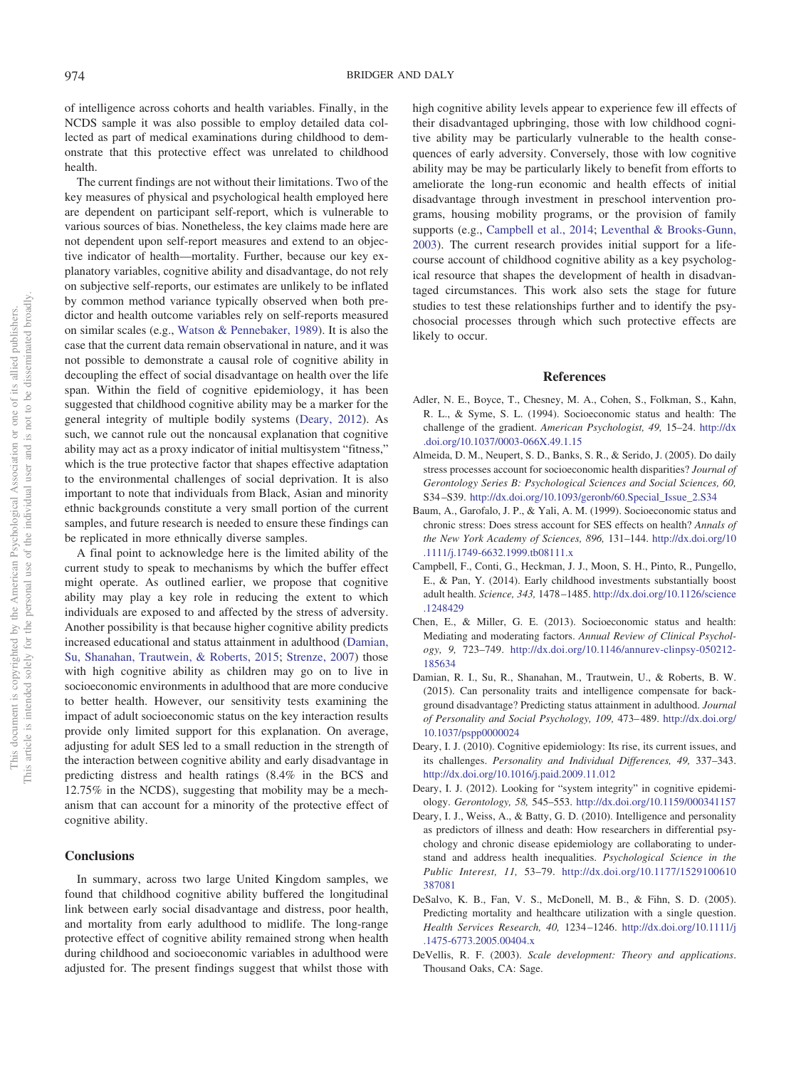of intelligence across cohorts and health variables. Finally, in the NCDS sample it was also possible to employ detailed data collected as part of medical examinations during childhood to demonstrate that this protective effect was unrelated to childhood health.

The current findings are not without their limitations. Two of the key measures of physical and psychological health employed here are dependent on participant self-report, which is vulnerable to various sources of bias. Nonetheless, the key claims made here are not dependent upon self-report measures and extend to an objective indicator of health—mortality. Further, because our key explanatory variables, cognitive ability and disadvantage, do not rely on subjective self-reports, our estimates are unlikely to be inflated by common method variance typically observed when both predictor and health outcome variables rely on self-reports measured on similar scales (e.g., [Watson & Pennebaker, 1989\)](#page-10-4). It is also the case that the current data remain observational in nature, and it was not possible to demonstrate a causal role of cognitive ability in decoupling the effect of social disadvantage on health over the life span. Within the field of cognitive epidemiology, it has been suggested that childhood cognitive ability may be a marker for the general integrity of multiple bodily systems [\(Deary, 2012\)](#page-8-8). As such, we cannot rule out the noncausal explanation that cognitive ability may act as a proxy indicator of initial multisystem "fitness," which is the true protective factor that shapes effective adaptation to the environmental challenges of social deprivation. It is also important to note that individuals from Black, Asian and minority ethnic backgrounds constitute a very small portion of the current samples, and future research is needed to ensure these findings can be replicated in more ethnically diverse samples.

A final point to acknowledge here is the limited ability of the current study to speak to mechanisms by which the buffer effect might operate. As outlined earlier, we propose that cognitive ability may play a key role in reducing the extent to which individuals are exposed to and affected by the stress of adversity. Another possibility is that because higher cognitive ability predicts increased educational and status attainment in adulthood [\(Damian,](#page-8-9) [Su, Shanahan, Trautwein, & Roberts, 2015;](#page-8-9) [Strenze, 2007\)](#page-10-5) those with high cognitive ability as children may go on to live in socioeconomic environments in adulthood that are more conducive to better health. However, our sensitivity tests examining the impact of adult socioeconomic status on the key interaction results provide only limited support for this explanation. On average, adjusting for adult SES led to a small reduction in the strength of the interaction between cognitive ability and early disadvantage in predicting distress and health ratings (8.4% in the BCS and 12.75% in the NCDS), suggesting that mobility may be a mechanism that can account for a minority of the protective effect of cognitive ability.

### **Conclusions**

In summary, across two large United Kingdom samples, we found that childhood cognitive ability buffered the longitudinal link between early social disadvantage and distress, poor health, and mortality from early adulthood to midlife. The long-range protective effect of cognitive ability remained strong when health during childhood and socioeconomic variables in adulthood were adjusted for. The present findings suggest that whilst those with high cognitive ability levels appear to experience few ill effects of their disadvantaged upbringing, those with low childhood cognitive ability may be particularly vulnerable to the health consequences of early adversity. Conversely, those with low cognitive ability may be may be particularly likely to benefit from efforts to ameliorate the long-run economic and health effects of initial disadvantage through investment in preschool intervention programs, housing mobility programs, or the provision of family supports (e.g., [Campbell et al., 2014;](#page-8-10) [Leventhal & Brooks-Gunn,](#page-9-33) [2003\)](#page-9-33). The current research provides initial support for a lifecourse account of childhood cognitive ability as a key psychological resource that shapes the development of health in disadvantaged circumstances. This work also sets the stage for future studies to test these relationships further and to identify the psychosocial processes through which such protective effects are likely to occur.

### **References**

- <span id="page-8-0"></span>Adler, N. E., Boyce, T., Chesney, M. A., Cohen, S., Folkman, S., Kahn, R. L., & Syme, S. L. (1994). Socioeconomic status and health: The challenge of the gradient. *American Psychologist, 49,* 15–24. [http://dx](http://dx.doi.org/10.1037/0003-066X.49.1.15) [.doi.org/10.1037/0003-066X.49.1.15](http://dx.doi.org/10.1037/0003-066X.49.1.15)
- <span id="page-8-6"></span>Almeida, D. M., Neupert, S. D., Banks, S. R., & Serido, J. (2005). Do daily stress processes account for socioeconomic health disparities? *Journal of Gerontology Series B: Psychological Sciences and Social Sciences, 60,* S34 –S39. [http://dx.doi.org/10.1093/geronb/60.Special\\_Issue\\_2.S34](http://dx.doi.org/10.1093/geronb/60.Special_Issue_2.S34)
- <span id="page-8-7"></span>Baum, A., Garofalo, J. P., & Yali, A. M. (1999). Socioeconomic status and chronic stress: Does stress account for SES effects on health? *Annals of the New York Academy of Sciences, 896,* 131–144. [http://dx.doi.org/10](http://dx.doi.org/10.1111/j.1749-6632.1999.tb08111.x) [.1111/j.1749-6632.1999.tb08111.x](http://dx.doi.org/10.1111/j.1749-6632.1999.tb08111.x)
- <span id="page-8-10"></span>Campbell, F., Conti, G., Heckman, J. J., Moon, S. H., Pinto, R., Pungello, E., & Pan, Y. (2014). Early childhood investments substantially boost adult health. *Science, 343,* 1478 –1485. [http://dx.doi.org/10.1126/science](http://dx.doi.org/10.1126/science.1248429) [.1248429](http://dx.doi.org/10.1126/science.1248429)
- <span id="page-8-1"></span>Chen, E., & Miller, G. E. (2013). Socioeconomic status and health: Mediating and moderating factors. *Annual Review of Clinical Psychology, 9,* 723–749. [http://dx.doi.org/10.1146/annurev-clinpsy-050212-](http://dx.doi.org/10.1146/annurev-clinpsy-050212-185634) [185634](http://dx.doi.org/10.1146/annurev-clinpsy-050212-185634)
- <span id="page-8-9"></span>Damian, R. I., Su, R., Shanahan, M., Trautwein, U., & Roberts, B. W. (2015). Can personality traits and intelligence compensate for background disadvantage? Predicting status attainment in adulthood. *Journal of Personality and Social Psychology, 109,* 473– 489. [http://dx.doi.org/](http://dx.doi.org/10.1037/pspp0000024) [10.1037/pspp0000024](http://dx.doi.org/10.1037/pspp0000024)
- <span id="page-8-3"></span>Deary, I. J. (2010). Cognitive epidemiology: Its rise, its current issues, and its challenges. *Personality and Individual Differences, 49,* 337–343. <http://dx.doi.org/10.1016/j.paid.2009.11.012>
- <span id="page-8-8"></span>Deary, I. J. (2012). Looking for "system integrity" in cognitive epidemiology. *Gerontology, 58,* 545–553. <http://dx.doi.org/10.1159/000341157>
- <span id="page-8-2"></span>Deary, I. J., Weiss, A., & Batty, G. D. (2010). Intelligence and personality as predictors of illness and death: How researchers in differential psychology and chronic disease epidemiology are collaborating to understand and address health inequalities. *Psychological Science in the Public Interest, 11,* 53–79. [http://dx.doi.org/10.1177/1529100610](http://dx.doi.org/10.1177/1529100610387081) [387081](http://dx.doi.org/10.1177/1529100610387081)
- <span id="page-8-4"></span>DeSalvo, K. B., Fan, V. S., McDonell, M. B., & Fihn, S. D. (2005). Predicting mortality and healthcare utilization with a single question. *Health Services Research, 40,* 1234 –1246. [http://dx.doi.org/10.1111/j](http://dx.doi.org/10.1111/j.1475-6773.2005.00404.x) [.1475-6773.2005.00404.x](http://dx.doi.org/10.1111/j.1475-6773.2005.00404.x)
- <span id="page-8-5"></span>DeVellis, R. F. (2003). *Scale development: Theory and applications*. Thousand Oaks, CA: Sage.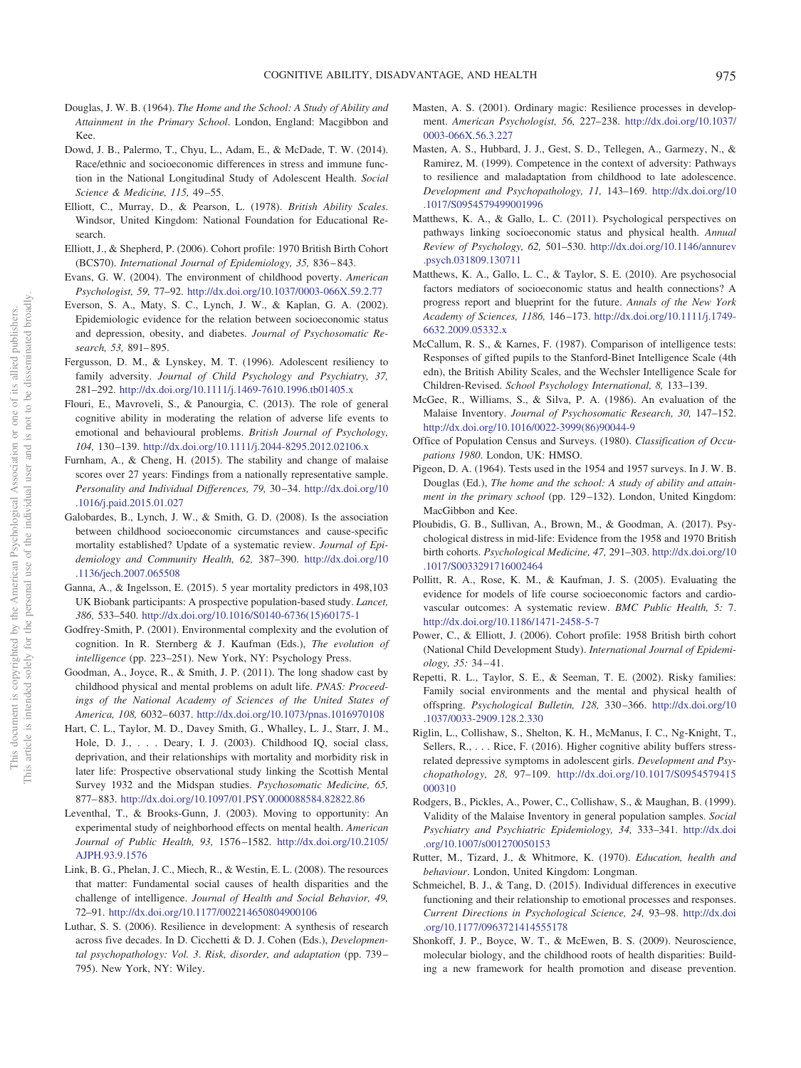- <span id="page-9-21"></span>Douglas, J. W. B. (1964). *The Home and the School: A Study of Ability and Attainment in the Primary School*. London, England: Macgibbon and Kee.
- <span id="page-9-30"></span>Dowd, J. B., Palermo, T., Chyu, L., Adam, E., & McDade, T. W. (2014). Race/ethnic and socioeconomic differences in stress and immune function in the National Longitudinal Study of Adolescent Health. *Social Science & Medicine, 115,* 49 –55.
- <span id="page-9-22"></span>Elliott, C., Murray, D., & Pearson, L. (1978). *British Ability Scales*. Windsor, United Kingdom: National Foundation for Educational Research.
- <span id="page-9-18"></span>Elliott, J., & Shepherd, P. (2006). Cohort profile: 1970 British Birth Cohort (BCS70). *International Journal of Epidemiology, 35,* 836 – 843.
- <span id="page-9-4"></span>Evans, G. W. (2004). The environment of childhood poverty. *American Psychologist, 59,* 77–92. <http://dx.doi.org/10.1037/0003-066X.59.2.77>
- <span id="page-9-0"></span>Everson, S. A., Maty, S. C., Lynch, J. W., & Kaplan, G. A. (2002). Epidemiologic evidence for the relation between socioeconomic status and depression, obesity, and diabetes. *Journal of Psychosomatic Research, 53,* 891– 895.
- <span id="page-9-11"></span>Fergusson, D. M., & Lynskey, M. T. (1996). Adolescent resiliency to family adversity. *Journal of Child Psychology and Psychiatry, 37,* 281–292. <http://dx.doi.org/10.1111/j.1469-7610.1996.tb01405.x>
- <span id="page-9-16"></span>Flouri, E., Mavroveli, S., & Panourgia, C. (2013). The role of general cognitive ability in moderating the relation of adverse life events to emotional and behavioural problems. *British Journal of Psychology, 104,* 130 –139. <http://dx.doi.org/10.1111/j.2044-8295.2012.02106.x>
- <span id="page-9-29"></span>Furnham, A., & Cheng, H. (2015). The stability and change of malaise scores over 27 years: Findings from a nationally representative sample. *Personality and Individual Differences, 79,* 30 –34. [http://dx.doi.org/10](http://dx.doi.org/10.1016/j.paid.2015.01.027) [.1016/j.paid.2015.01.027](http://dx.doi.org/10.1016/j.paid.2015.01.027)
- <span id="page-9-2"></span>Galobardes, B., Lynch, J. W., & Smith, G. D. (2008). Is the association between childhood socioeconomic circumstances and cause-specific mortality established? Update of a systematic review. *Journal of Epidemiology and Community Health, 62,* 387–390. [http://dx.doi.org/10](http://dx.doi.org/10.1136/jech.2007.065508) [.1136/jech.2007.065508](http://dx.doi.org/10.1136/jech.2007.065508)
- <span id="page-9-28"></span>Ganna, A., & Ingelsson, E. (2015). 5 year mortality predictors in 498,103 UK Biobank participants: A prospective population-based study. *Lancet, 386,* 533–540. [http://dx.doi.org/10.1016/S0140-6736\(15\)60175-1](http://dx.doi.org/10.1016/S0140-6736%2815%2960175-1)
- <span id="page-9-8"></span>Godfrey-Smith, P. (2001). Environmental complexity and the evolution of cognition. In R. Sternberg & J. Kaufman (Eds.), *The evolution of intelligence* (pp. 223–251). New York, NY: Psychology Press.
- <span id="page-9-32"></span>Goodman, A., Joyce, R., & Smith, J. P. (2011). The long shadow cast by childhood physical and mental problems on adult life. *PNAS: Proceedings of the National Academy of Sciences of the United States of America, 108,* 6032– 6037. <http://dx.doi.org/10.1073/pnas.1016970108>
- <span id="page-9-10"></span>Hart, C. L., Taylor, M. D., Davey Smith, G., Whalley, L. J., Starr, J. M., Hole, D. J.,... Deary, I. J. (2003). Childhood IQ, social class, deprivation, and their relationships with mortality and morbidity risk in later life: Prospective observational study linking the Scottish Mental Survey 1932 and the Midspan studies. *Psychosomatic Medicine, 65,* 877– 883. <http://dx.doi.org/10.1097/01.PSY.0000088584.82822.86>
- <span id="page-9-33"></span>Leventhal, T., & Brooks-Gunn, J. (2003). Moving to opportunity: An experimental study of neighborhood effects on mental health. *American Journal of Public Health, 93,* 1576 –1582. [http://dx.doi.org/10.2105/](http://dx.doi.org/10.2105/AJPH.93.9.1576) [AJPH.93.9.1576](http://dx.doi.org/10.2105/AJPH.93.9.1576)
- <span id="page-9-9"></span>Link, B. G., Phelan, J. C., Miech, R., & Westin, E. L. (2008). The resources that matter: Fundamental social causes of health disparities and the challenge of intelligence. *Journal of Health and Social Behavior, 49,* 72–91. <http://dx.doi.org/10.1177/002214650804900106>
- <span id="page-9-15"></span>Luthar, S. S. (2006). Resilience in development: A synthesis of research across five decades. In D. Cicchetti & D. J. Cohen (Eds.), *Developmental psychopathology: Vol. 3*. *Risk, disorder, and adaptation* (pp. 739 – 795). New York, NY: Wiley.
- <span id="page-9-14"></span>Masten, A. S. (2001). Ordinary magic: Resilience processes in development. *American Psychologist, 56,* 227–238. [http://dx.doi.org/10.1037/](http://dx.doi.org/10.1037/0003-066X.56.3.227) [0003-066X.56.3.227](http://dx.doi.org/10.1037/0003-066X.56.3.227)
- <span id="page-9-12"></span>Masten, A. S., Hubbard, J. J., Gest, S. D., Tellegen, A., Garmezy, N., & Ramirez, M. (1999). Competence in the context of adversity: Pathways to resilience and maladaptation from childhood to late adolescence. *Development and Psychopathology, 11,* 143–169. [http://dx.doi.org/10](http://dx.doi.org/10.1017/S0954579499001996) [.1017/S0954579499001996](http://dx.doi.org/10.1017/S0954579499001996)
- <span id="page-9-5"></span>Matthews, K. A., & Gallo, L. C. (2011). Psychological perspectives on pathways linking socioeconomic status and physical health. *Annual Review of Psychology, 62,* 501–530. [http://dx.doi.org/10.1146/annurev](http://dx.doi.org/10.1146/annurev.psych.031809.130711) [.psych.031809.130711](http://dx.doi.org/10.1146/annurev.psych.031809.130711)
- <span id="page-9-7"></span>Matthews, K. A., Gallo, L. C., & Taylor, S. E. (2010). Are psychosocial factors mediators of socioeconomic status and health connections? A progress report and blueprint for the future. *Annals of the New York Academy of Sciences, 1186,* 146 –173. [http://dx.doi.org/10.1111/j.1749-](http://dx.doi.org/10.1111/j.1749-6632.2009.05332.x) [6632.2009.05332.x](http://dx.doi.org/10.1111/j.1749-6632.2009.05332.x)
- <span id="page-9-23"></span>McCallum, R. S., & Karnes, F. (1987). Comparison of intelligence tests: Responses of gifted pupils to the Stanford-Binet Intelligence Scale (4th edn), the British Ability Scales, and the Wechsler Intelligence Scale for Children-Revised. *School Psychology International, 8,* 133–139.
- <span id="page-9-26"></span>McGee, R., Williams, S., & Silva, P. A. (1986). An evaluation of the Malaise Inventory. *Journal of Psychosomatic Research, 30,* 147–152. [http://dx.doi.org/10.1016/0022-3999\(86\)90044-9](http://dx.doi.org/10.1016/0022-3999%2886%2990044-9)
- <span id="page-9-19"></span>Office of Population Census and Surveys. (1980). *Classification of Occupations 1980*. London, UK: HMSO.
- <span id="page-9-20"></span>Pigeon, D. A. (1964). Tests used in the 1954 and 1957 surveys. In J. W. B. Douglas (Ed.), *The home and the school: A study of ability and attainment in the primary school* (pp. 129 –132). London, United Kingdom: MacGibbon and Kee.
- <span id="page-9-27"></span>Ploubidis, G. B., Sullivan, A., Brown, M., & Goodman, A. (2017). Psychological distress in mid-life: Evidence from the 1958 and 1970 British birth cohorts. *Psychological Medicine, 47,* 291–303. [http://dx.doi.org/10](http://dx.doi.org/10.1017/S0033291716002464) [.1017/S0033291716002464](http://dx.doi.org/10.1017/S0033291716002464)
- <span id="page-9-3"></span>Pollitt, R. A., Rose, K. M., & Kaufman, J. S. (2005). Evaluating the evidence for models of life course socioeconomic factors and cardiovascular outcomes: A systematic review. *BMC Public Health, 5:* 7. <http://dx.doi.org/10.1186/1471-2458-5-7>
- <span id="page-9-17"></span>Power, C., & Elliott, J. (2006). Cohort profile: 1958 British birth cohort (National Child Development Study). *International Journal of Epidemiology, 35:* 34 – 41.
- <span id="page-9-1"></span>Repetti, R. L., Taylor, S. E., & Seeman, T. E. (2002). Risky families: Family social environments and the mental and physical health of offspring. *Psychological Bulletin, 128,* 330 –366. [http://dx.doi.org/10](http://dx.doi.org/10.1037/0033-2909.128.2.330) [.1037/0033-2909.128.2.330](http://dx.doi.org/10.1037/0033-2909.128.2.330)
- <span id="page-9-13"></span>Riglin, L., Collishaw, S., Shelton, K. H., McManus, I. C., Ng-Knight, T., Sellers, R., . . . Rice, F. (2016). Higher cognitive ability buffers stressrelated depressive symptoms in adolescent girls. *Development and Psychopathology, 28,* 97–109. [http://dx.doi.org/10.1017/S0954579415](http://dx.doi.org/10.1017/S0954579415000310) [000310](http://dx.doi.org/10.1017/S0954579415000310)
- <span id="page-9-25"></span>Rodgers, B., Pickles, A., Power, C., Collishaw, S., & Maughan, B. (1999). Validity of the Malaise Inventory in general population samples. *Social Psychiatry and Psychiatric Epidemiology, 34,* 333–341. [http://dx.doi](http://dx.doi.org/10.1007/s001270050153) [.org/10.1007/s001270050153](http://dx.doi.org/10.1007/s001270050153)
- <span id="page-9-24"></span>Rutter, M., Tizard, J., & Whitmore, K. (1970). *Education, health and behaviour*. London, United Kingdom: Longman.
- <span id="page-9-31"></span>Schmeichel, B. J., & Tang, D. (2015). Individual differences in executive functioning and their relationship to emotional processes and responses. *Current Directions in Psychological Science, 24,* 93–98. [http://dx.doi](http://dx.doi.org/10.1177/0963721414555178) [.org/10.1177/0963721414555178](http://dx.doi.org/10.1177/0963721414555178)
- <span id="page-9-6"></span>Shonkoff, J. P., Boyce, W. T., & McEwen, B. S. (2009). Neuroscience, molecular biology, and the childhood roots of health disparities: Building a new framework for health promotion and disease prevention.